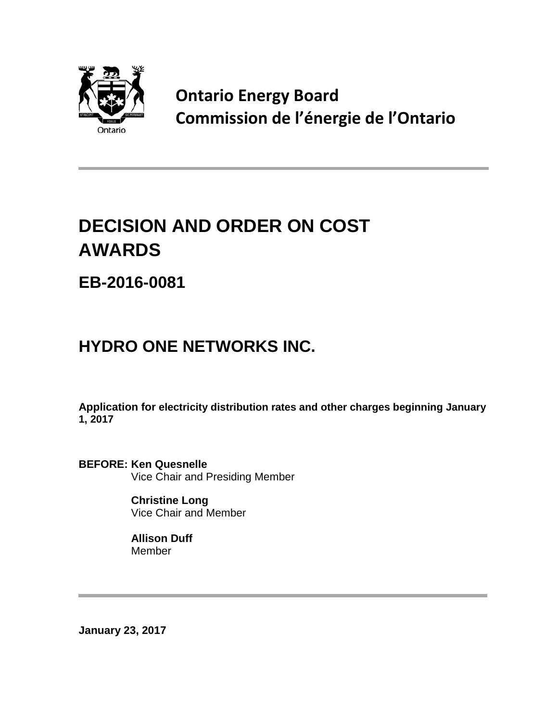

**Ontario Energy Board Commission de l'énergie de l'Ontario**

# **DECISION AND ORDER ON COST AWARDS**

**EB-2016-0081**

## **HYDRO ONE NETWORKS INC.**

**Application for electricity distribution rates and other charges beginning January 1, 2017**

**BEFORE: Ken Quesnelle** Vice Chair and Presiding Member

> **Christine Long** Vice Chair and Member

**Allison Duff** Member

**January 23, 2017**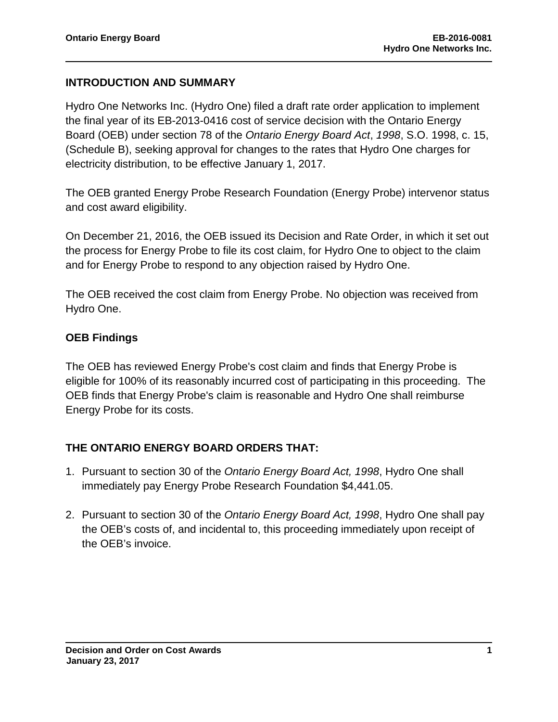#### **INTRODUCTION AND SUMMARY**

Hydro One Networks Inc. (Hydro One) filed a draft rate order application to implement the final year of its EB-2013-0416 cost of service decision with the Ontario Energy Board (OEB) under section 78 of the *Ontario Energy Board Act*, *1998*, S.O. 1998, c. 15, (Schedule B), seeking approval for changes to the rates that Hydro One charges for electricity distribution, to be effective January 1, 2017.

The OEB granted Energy Probe Research Foundation (Energy Probe) intervenor status and cost award eligibility.

On December 21, 2016, the OEB issued its Decision and Rate Order, in which it set out the process for Energy Probe to file its cost claim, for Hydro One to object to the claim and for Energy Probe to respond to any objection raised by Hydro One.

The OEB received the cost claim from Energy Probe. No objection was received from Hydro One.

#### **OEB Findings**

The OEB has reviewed Energy Probe's cost claim and finds that Energy Probe is eligible for 100% of its reasonably incurred cost of participating in this proceeding. The OEB finds that Energy Probe's claim is reasonable and Hydro One shall reimburse Energy Probe for its costs.

#### **THE ONTARIO ENERGY BOARD ORDERS THAT:**

- 1. Pursuant to section 30 of the *Ontario Energy Board Act, 1998*, Hydro One shall immediately pay Energy Probe Research Foundation \$4,441.05.
- 2. Pursuant to section 30 of the *Ontario Energy Board Act, 1998*, Hydro One shall pay the OEB's costs of, and incidental to, this proceeding immediately upon receipt of the OEB's invoice.